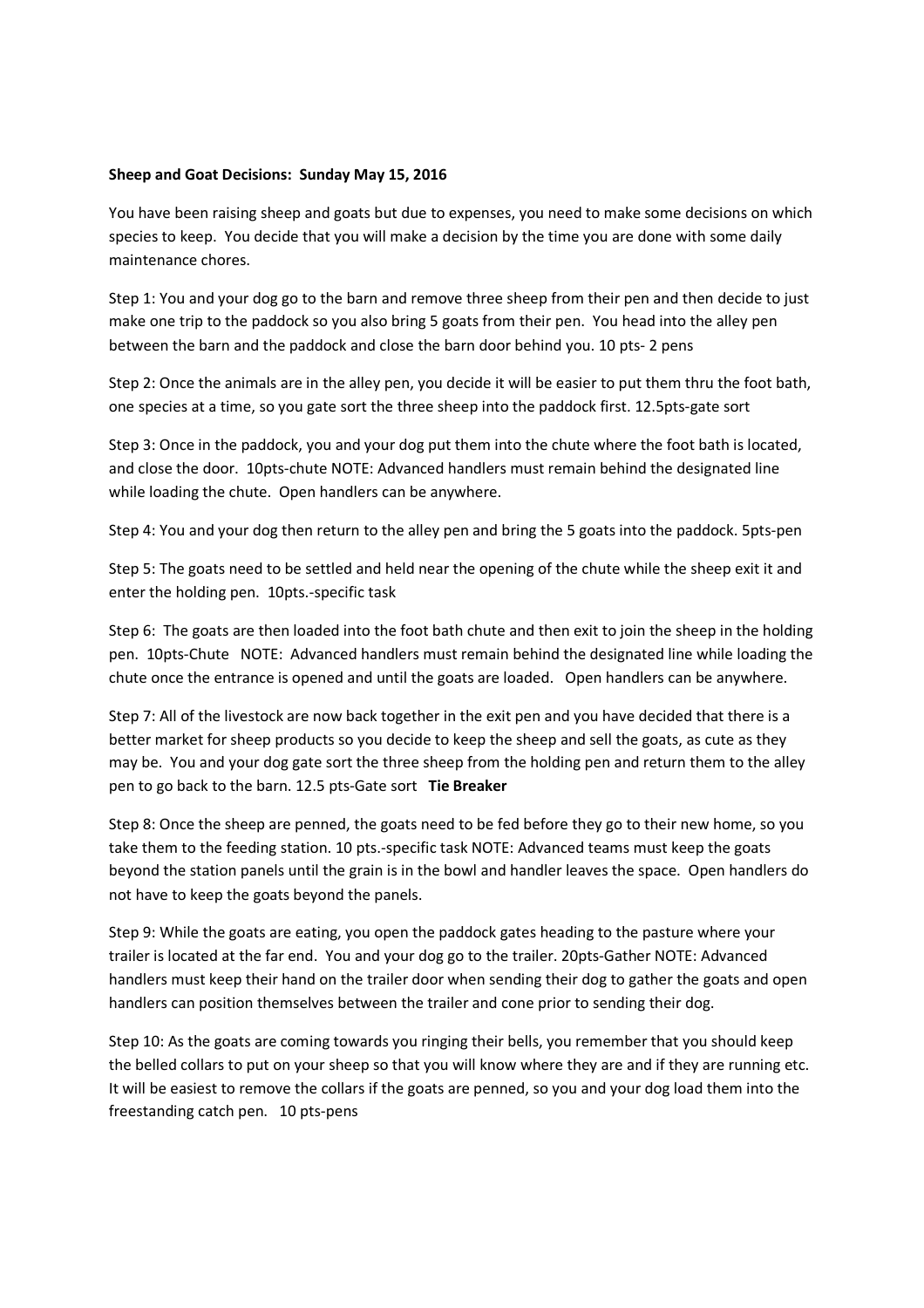## **Sheep and Goat Decisions: Sunday May 15, 2016**

You have been raising sheep and goats but due to expenses, you need to make some decisions on which species to keep. You decide that you will make a decision by the time you are done with some daily maintenance chores.

Step 1: You and your dog go to the barn and remove three sheep from their pen and then decide to just make one trip to the paddock so you also bring 5 goats from their pen. You head into the alley pen between the barn and the paddock and close the barn door behind you. 10 pts- 2 pens

Step 2: Once the animals are in the alley pen, you decide it will be easier to put them thru the foot bath, one species at a time, so you gate sort the three sheep into the paddock first. 12.5pts-gate sort

Step 3: Once in the paddock, you and your dog put them into the chute where the foot bath is located, and close the door. 10pts-chute NOTE: Advanced handlers must remain behind the designated line while loading the chute. Open handlers can be anywhere.

Step 4: You and your dog then return to the alley pen and bring the 5 goats into the paddock. 5pts-pen

Step 5: The goats need to be settled and held near the opening of the chute while the sheep exit it and enter the holding pen. 10pts.-specific task

Step 6: The goats are then loaded into the foot bath chute and then exit to join the sheep in the holding pen. 10pts-Chute NOTE: Advanced handlers must remain behind the designated line while loading the chute once the entrance is opened and until the goats are loaded. Open handlers can be anywhere.

Step 7: All of the livestock are now back together in the exit pen and you have decided that there is a better market for sheep products so you decide to keep the sheep and sell the goats, as cute as they may be. You and your dog gate sort the three sheep from the holding pen and return them to the alley pen to go back to the barn. 12.5 pts-Gate sort **Tie Breaker**

Step 8: Once the sheep are penned, the goats need to be fed before they go to their new home, so you take them to the feeding station. 10 pts.-specific task NOTE: Advanced teams must keep the goats beyond the station panels until the grain is in the bowl and handler leaves the space. Open handlers do not have to keep the goats beyond the panels.

Step 9: While the goats are eating, you open the paddock gates heading to the pasture where your trailer is located at the far end. You and your dog go to the trailer. 20pts-Gather NOTE: Advanced handlers must keep their hand on the trailer door when sending their dog to gather the goats and open handlers can position themselves between the trailer and cone prior to sending their dog.

Step 10: As the goats are coming towards you ringing their bells, you remember that you should keep the belled collars to put on your sheep so that you will know where they are and if they are running etc. It will be easiest to remove the collars if the goats are penned, so you and your dog load them into the freestanding catch pen. 10 pts-pens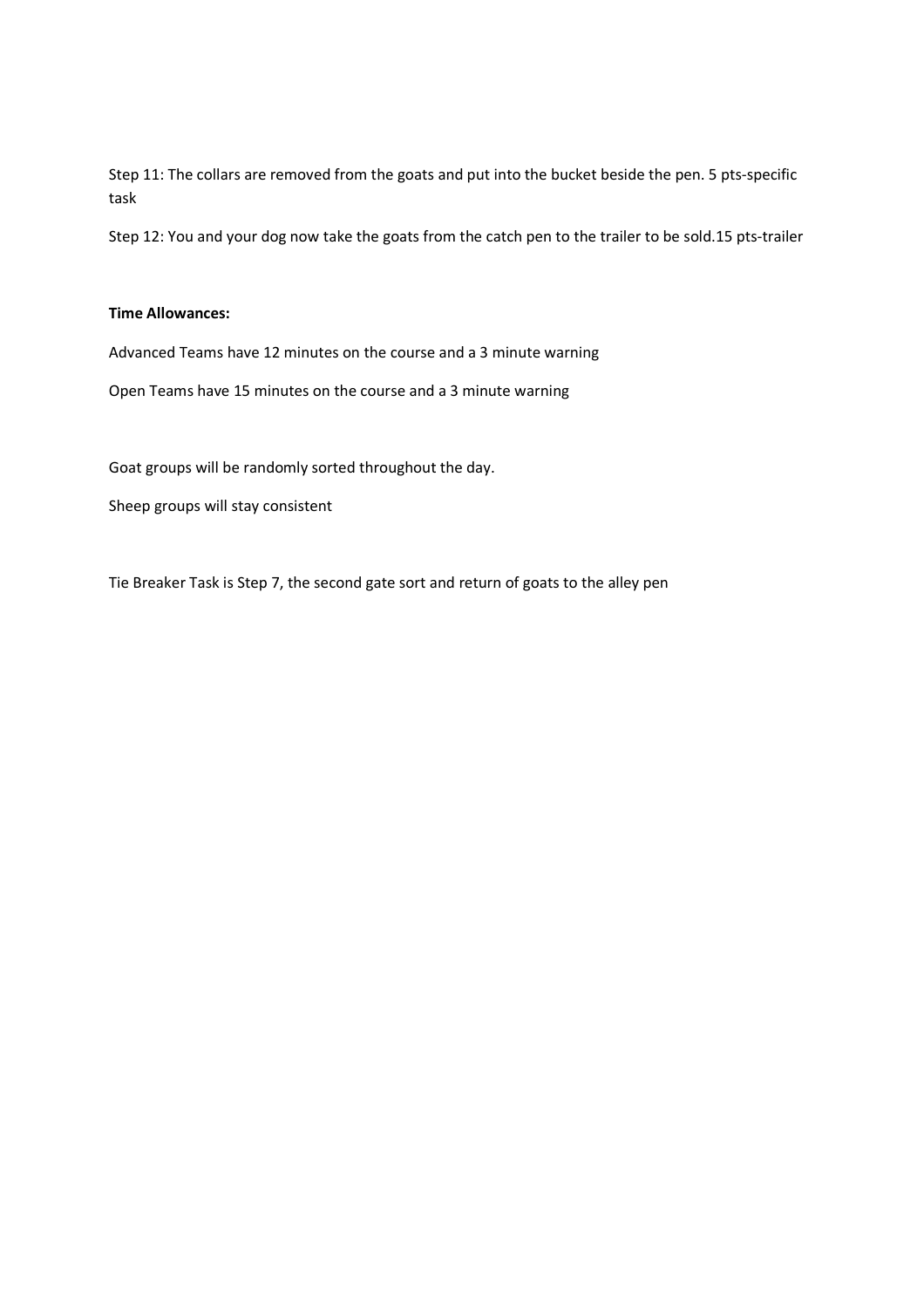Step 11: The collars are removed from the goats and put into the bucket beside the pen. 5 pts-specific task

Step 12: You and your dog now take the goats from the catch pen to the trailer to be sold.15 pts-trailer

## **Time Allowances:**

Advanced Teams have 12 minutes on the course and a 3 minute warning

Open Teams have 15 minutes on the course and a 3 minute warning

Goat groups will be randomly sorted throughout the day.

Sheep groups will stay consistent

Tie Breaker Task is Step 7, the second gate sort and return of goats to the alley pen